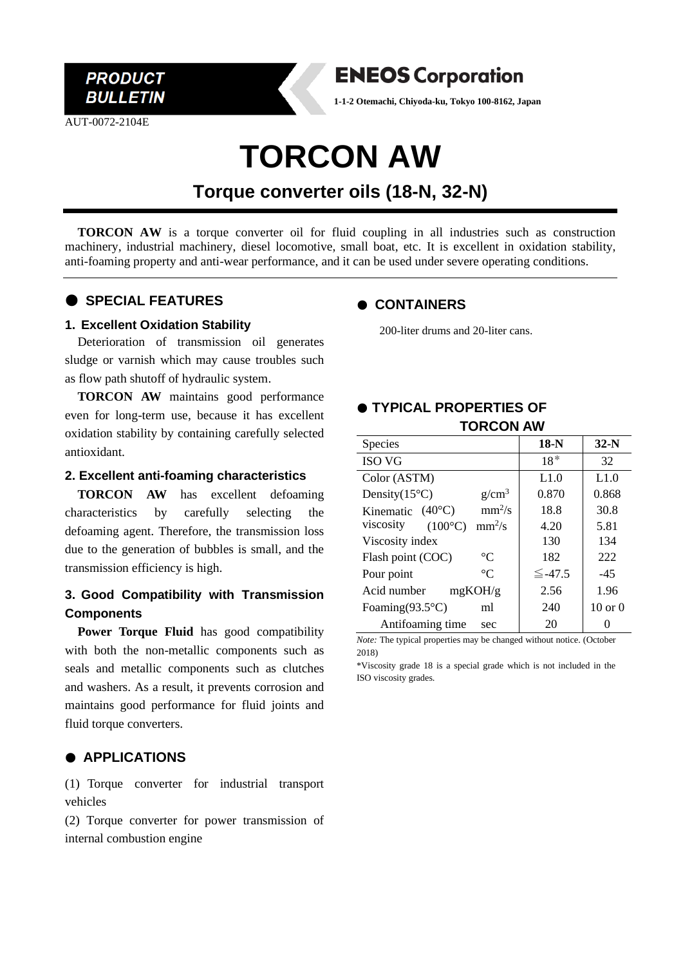

AUT-0072-2104E



**1-1-2 Otemachi, Chiyoda-ku, Tokyo 100-8162, Japan**

# **TORCON AW**

# **Torque converter oils (18-N, 32-N)**

**TORCON AW** is a torque converter oil for fluid coupling in all industries such as construction machinery, industrial machinery, diesel locomotive, small boat, etc. It is excellent in oxidation stability, anti-foaming property and anti-wear performance, and it can be used under severe operating conditions.

# ● **SPECIAL FEATURES**

#### **1. Excellent Oxidation Stability**

Deterioration of transmission oil generates sludge or varnish which may cause troubles such as flow path shutoff of hydraulic system.

**TORCON AW** maintains good performance even for long-term use, because it has excellent oxidation stability by containing carefully selected antioxidant.

#### **2. Excellent anti-foaming characteristics**

**TORCON AW** has excellent defoaming characteristics by carefully selecting the defoaming agent. Therefore, the transmission loss due to the generation of bubbles is small, and the transmission efficiency is high.

# **3. Good Compatibility with Transmission Components**

**Power Torque Fluid** has good compatibility with both the non-metallic components such as seals and metallic components such as clutches and washers. As a result, it prevents corrosion and maintains good performance for fluid joints and fluid torque converters.

#### ● **APPLICATIONS**

(1) Torque converter for industrial transport vehicles

(2) Torque converter for power transmission of internal combustion engine

# ● **CONTAINERS**

200-liter drums and 20-liter cans.

# ● **TYPICAL PROPERTIES OF TORCON AW**

| <b>Species</b>                            | $18-N$       | $32-N$             |
|-------------------------------------------|--------------|--------------------|
| <b>ISO VG</b>                             | $18*$        | 32                 |
| Color (ASTM)                              | L1.0         | L1.0               |
| Density $(15^{\circ}C)$<br>$g/cm^3$       | 0.870        | 0.868              |
| $mm^2/s$<br>Kinematic $(40^{\circ}C)$     | 18.8         | 30.8               |
| viscosity<br>$(100^{\circ}C)$<br>$mm^2/s$ | 4.20         | 5.81               |
| Viscosity index                           | 130          | 134                |
| $\rm ^{\circ}C$<br>Flash point (COC)      | 182          | 222                |
| $^{\circ}C$<br>Pour point                 | $\leq$ -47.5 | $-45$              |
| Acid number<br>mgKOH/g                    | 2.56         | 1.96               |
| Foaming $(93.5^{\circ}C)$<br>ml           | 240          | $10 \text{ or } 0$ |
| Antifoaming time<br>sec                   | 20           |                    |

*Note:* The typical properties may be changed without notice. (October 2018)

\*Viscosity grade 18 is a special grade which is not included in the ISO viscosity grades.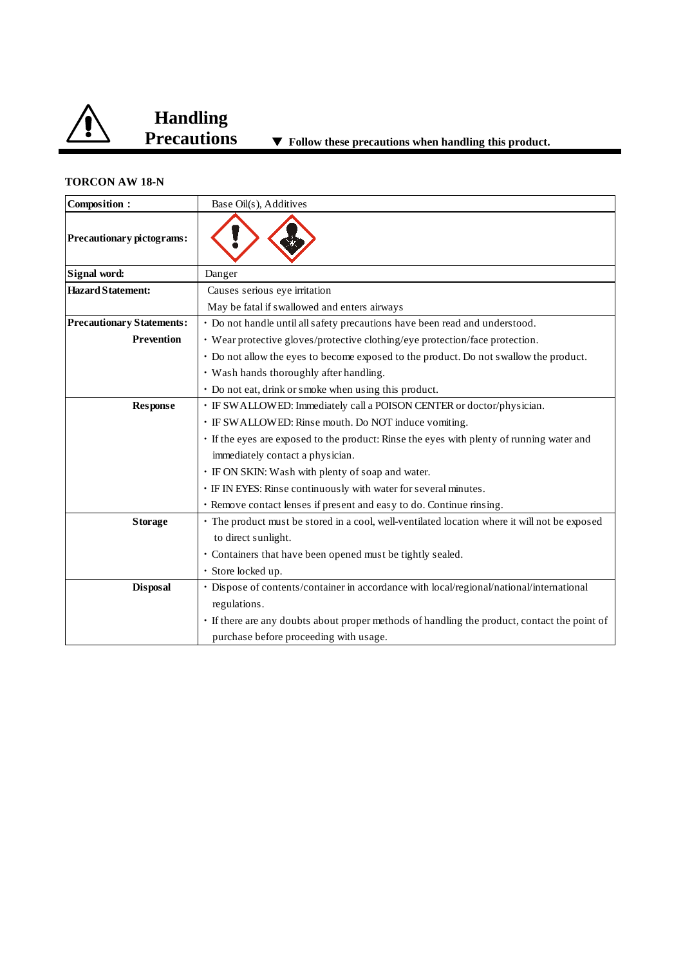

### **TORCON AW 18-N**

| Composition:                     | Base Oil(s), Additives                                                                        |
|----------------------------------|-----------------------------------------------------------------------------------------------|
| Precautionary pictograms:        |                                                                                               |
| Signal word:                     | Danger                                                                                        |
| <b>Hazard Statement:</b>         | Causes serious eye irritation                                                                 |
|                                  | May be fatal if swallowed and enters airways                                                  |
| <b>Precautionary Statements:</b> | · Do not handle until all safety precautions have been read and understood.                   |
| <b>Prevention</b>                | • Wear protective gloves/protective clothing/eye protection/face protection.                  |
|                                  | • Do not allow the eyes to become exposed to the product. Do not swallow the product.         |
|                                  | • Wash hands thoroughly after handling.                                                       |
|                                  | • Do not eat, drink or smoke when using this product.                                         |
| <b>Response</b>                  | • IF SWALLOWED: Immediately call a POISON CENTER or doctor/physician.                         |
|                                  | · IF SWALLOWED: Rinse mouth. Do NOT induce vomiting.                                          |
|                                  | • If the eyes are exposed to the product: Rinse the eyes with plenty of running water and     |
|                                  | immediately contact a physician.                                                              |
|                                  | · IF ON SKIN: Wash with plenty of soap and water.                                             |
|                                  | · IF IN EYES: Rinse continuously with water for several minutes.                              |
|                                  | · Remove contact lenses if present and easy to do. Continue rinsing.                          |
| <b>Storage</b>                   | · The product must be stored in a cool, well-ventilated location where it will not be exposed |
|                                  | to direct sunlight.                                                                           |
|                                  | · Containers that have been opened must be tightly sealed.                                    |
|                                  | · Store locked up.                                                                            |
| <b>Disposal</b>                  | · Dispose of contents/container in accordance with local/regional/national/international      |
|                                  | regulations.                                                                                  |
|                                  | • If there are any doubts about proper methods of handling the product, contact the point of  |
|                                  | purchase before proceeding with usage.                                                        |